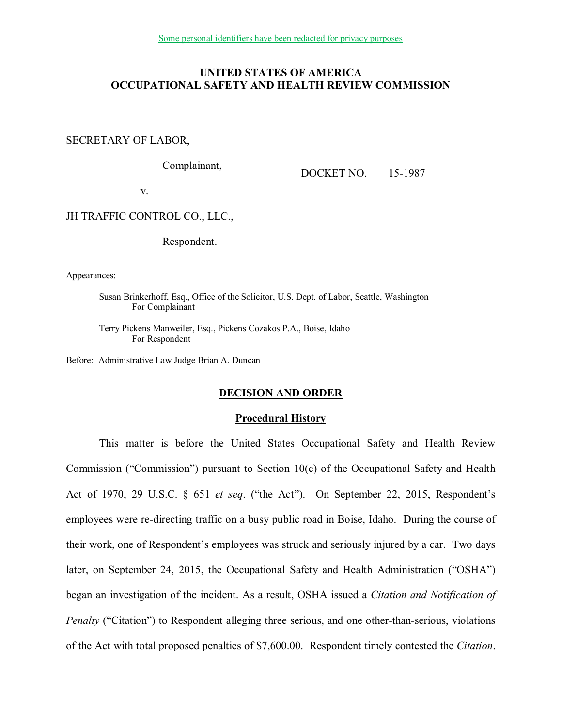# **UNITED STATES OF AMERICA OCCUPATIONAL SAFETY AND HEALTH REVIEW COMMISSION**

SECRETARY OF LABOR,

Complainant,

DOCKET NO. 15-1987

v.

JH TRAFFIC CONTROL CO., LLC.,

Respondent.

Appearances:

Susan Brinkerhoff, Esq., Office of the Solicitor, U.S. Dept. of Labor, Seattle, Washington For Complainant

Terry Pickens Manweiler, Esq., Pickens Cozakos P.A., Boise, Idaho For Respondent

Before: Administrative Law Judge Brian A. Duncan

# **DECISION AND ORDER**

### **Procedural History**

This matter is before the United States Occupational Safety and Health Review Commission ("Commission") pursuant to Section 10(c) of the Occupational Safety and Health Act of 1970, 29 U.S.C. § 651 *et seq*. ("the Act"). On September 22, 2015, Respondent's employees were re-directing traffic on a busy public road in Boise, Idaho. During the course of their work, one of Respondent's employees was struck and seriously injured by a car. Two days later, on September 24, 2015, the Occupational Safety and Health Administration ("OSHA") began an investigation of the incident. As a result, OSHA issued a *Citation and Notification of Penalty* ("Citation") to Respondent alleging three serious, and one other-than-serious, violations of the Act with total proposed penalties of \$7,600.00. Respondent timely contested the *Citation*.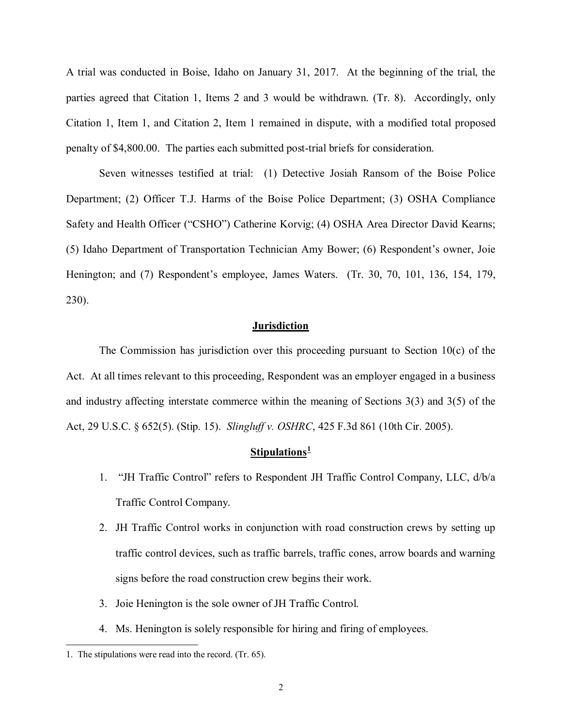A trial was conducted in Boise, Idaho on January 31, 2017. At the beginning of the trial, the parties agreed that Citation 1, Items 2 and 3 would be withdrawn. (Tr. 8). Accordingly, only Citation 1, Item 1, and Citation 2, Item 1 remained in dispute, with a modified total proposed penalty of \$4,800.00. The parties each submitted post-trial briefs for consideration.

Seven witnesses testified at trial: (1) Detective Josiah Ransom of the Boise Police Department; (2) Officer T.J. Harms of the Boise Police Department; (3) OSHA Compliance Safety and Health Officer ("CSHO") Catherine Korvig; (4) OSHA Area Director David Kearns; (5) Idaho Department of Transportation Technician Amy Bower; (6) Respondent's owner, Joie Henington; and (7) Respondent's employee, James Waters. (Tr. 30, 70, 101, 136, 154, 179, 230).

# **Jurisdiction**

The Commission has jurisdiction over this proceeding pursuant to Section  $10(c)$  of the Act. At all times relevant to this proceeding, Respondent was an employer engaged in a business and industry affecting interstate commerce within the meaning of Sections 3(3) and 3(5) of the Act, 29 U.S.C. § 652(5). (Stip. 15). *Slingluff v. OSHRC*, 425 F.3d 861 (10th Cir. 2005).

# **Stipulations[1](#page-1-0)**

- 1. "JH Traffic Control" refers to Respondent JH Traffic Control Company, LLC, d/b/a Traffic Control Company.
- 2. JH Traffic Control works in conjunction with road construction crews by setting up traffic control devices, such as traffic barrels, traffic cones, arrow boards and warning signs before the road construction crew begins their work.
- 3. Joie Henington is the sole owner of JH Traffic Control.
- 4. Ms. Henington is solely responsible for hiring and firing of employees.

 $\overline{a}$ 

<span id="page-1-0"></span><sup>1.</sup> The stipulations were read into the record. (Tr. 65).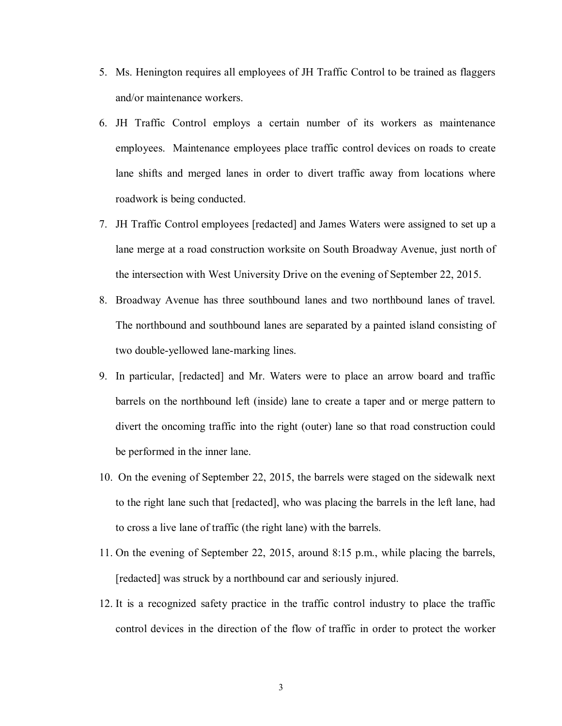- 5. Ms. Henington requires all employees of JH Traffic Control to be trained as flaggers and/or maintenance workers.
- 6. JH Traffic Control employs a certain number of its workers as maintenance employees. Maintenance employees place traffic control devices on roads to create lane shifts and merged lanes in order to divert traffic away from locations where roadwork is being conducted.
- 7. JH Traffic Control employees [redacted] and James Waters were assigned to set up a lane merge at a road construction worksite on South Broadway Avenue, just north of the intersection with West University Drive on the evening of September 22, 2015.
- 8. Broadway Avenue has three southbound lanes and two northbound lanes of travel. The northbound and southbound lanes are separated by a painted island consisting of two double-yellowed lane-marking lines.
- 9. In particular, [redacted] and Mr. Waters were to place an arrow board and traffic barrels on the northbound left (inside) lane to create a taper and or merge pattern to divert the oncoming traffic into the right (outer) lane so that road construction could be performed in the inner lane.
- 10. On the evening of September 22, 2015, the barrels were staged on the sidewalk next to the right lane such that [redacted], who was placing the barrels in the left lane, had to cross a live lane of traffic (the right lane) with the barrels.
- 11. On the evening of September 22, 2015, around 8:15 p.m., while placing the barrels, [redacted] was struck by a northbound car and seriously injured.
- 12. It is a recognized safety practice in the traffic control industry to place the traffic control devices in the direction of the flow of traffic in order to protect the worker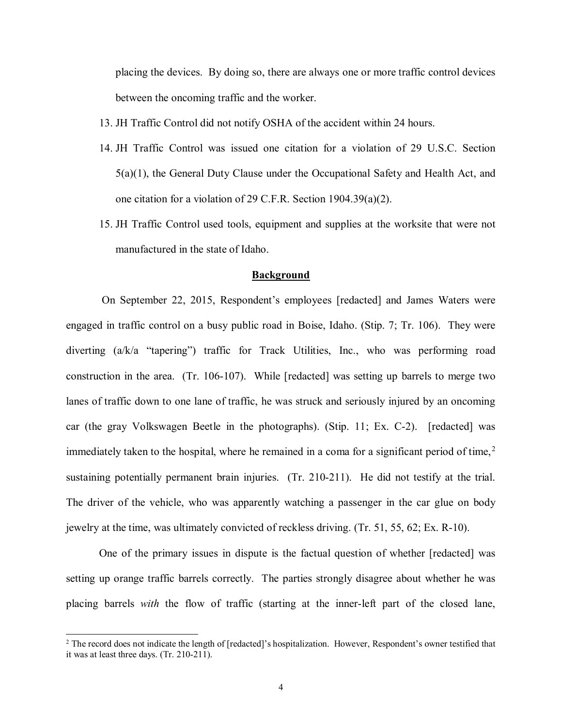placing the devices. By doing so, there are always one or more traffic control devices between the oncoming traffic and the worker.

- 13. JH Traffic Control did not notify OSHA of the accident within 24 hours.
- 14. JH Traffic Control was issued one citation for a violation of 29 U.S.C. Section 5(a)(1), the General Duty Clause under the Occupational Safety and Health Act, and one citation for a violation of 29 C.F.R. Section 1904.39(a)(2).
- 15. JH Traffic Control used tools, equipment and supplies at the worksite that were not manufactured in the state of Idaho.

### **Background**

 On September 22, 2015, Respondent's employees [redacted] and James Waters were engaged in traffic control on a busy public road in Boise, Idaho. (Stip. 7; Tr. 106). They were diverting (a/k/a "tapering") traffic for Track Utilities, Inc., who was performing road construction in the area. (Tr. 106-107). While [redacted] was setting up barrels to merge two lanes of traffic down to one lane of traffic, he was struck and seriously injured by an oncoming car (the gray Volkswagen Beetle in the photographs). (Stip. 11; Ex. C-2). [redacted] was immediately taken to the hospital, where he remained in a coma for a significant period of time,<sup>[2](#page-3-0)</sup> sustaining potentially permanent brain injuries. (Tr. 210-211). He did not testify at the trial. The driver of the vehicle, who was apparently watching a passenger in the car glue on body jewelry at the time, was ultimately convicted of reckless driving. (Tr. 51, 55, 62; Ex. R-10).

One of the primary issues in dispute is the factual question of whether [redacted] was setting up orange traffic barrels correctly. The parties strongly disagree about whether he was placing barrels *with* the flow of traffic (starting at the inner-left part of the closed lane,

 $\overline{a}$ 

<span id="page-3-0"></span><sup>&</sup>lt;sup>2</sup> The record does not indicate the length of [redacted]'s hospitalization. However, Respondent's owner testified that it was at least three days. (Tr. 210-211).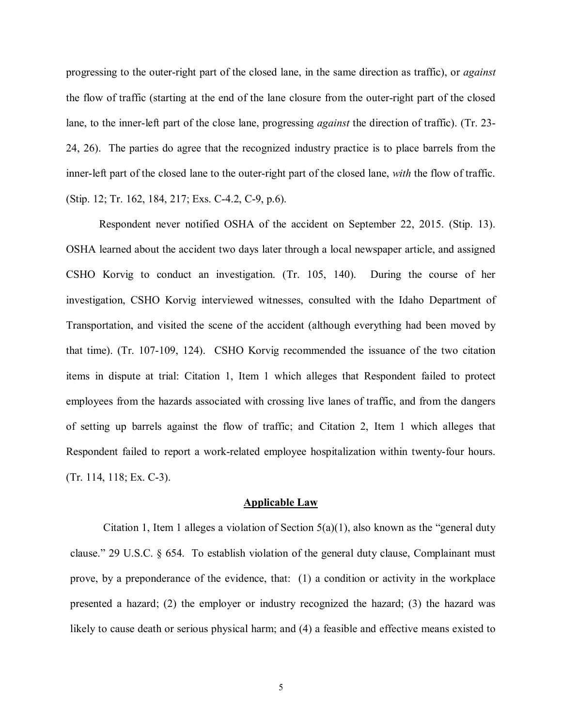progressing to the outer-right part of the closed lane, in the same direction as traffic), or *against* the flow of traffic (starting at the end of the lane closure from the outer-right part of the closed lane, to the inner-left part of the close lane, progressing *against* the direction of traffic). (Tr. 23- 24, 26). The parties do agree that the recognized industry practice is to place barrels from the inner-left part of the closed lane to the outer-right part of the closed lane, *with* the flow of traffic. (Stip. 12; Tr. 162, 184, 217; Exs. C-4.2, C-9, p.6).

Respondent never notified OSHA of the accident on September 22, 2015. (Stip. 13). OSHA learned about the accident two days later through a local newspaper article, and assigned CSHO Korvig to conduct an investigation. (Tr. 105, 140). During the course of her investigation, CSHO Korvig interviewed witnesses, consulted with the Idaho Department of Transportation, and visited the scene of the accident (although everything had been moved by that time). (Tr. 107-109, 124). CSHO Korvig recommended the issuance of the two citation items in dispute at trial: Citation 1, Item 1 which alleges that Respondent failed to protect employees from the hazards associated with crossing live lanes of traffic, and from the dangers of setting up barrels against the flow of traffic; and Citation 2, Item 1 which alleges that Respondent failed to report a work-related employee hospitalization within twenty-four hours. (Tr. 114, 118; Ex. C-3).

#### **Applicable Law**

Citation 1, Item 1 alleges a violation of Section  $5(a)(1)$ , also known as the "general duty" clause." 29 U.S.C. § 654. To establish violation of the general duty clause, Complainant must prove, by a preponderance of the evidence, that: (1) a condition or activity in the workplace presented a hazard; (2) the employer or industry recognized the hazard; (3) the hazard was likely to cause death or serious physical harm; and (4) a feasible and effective means existed to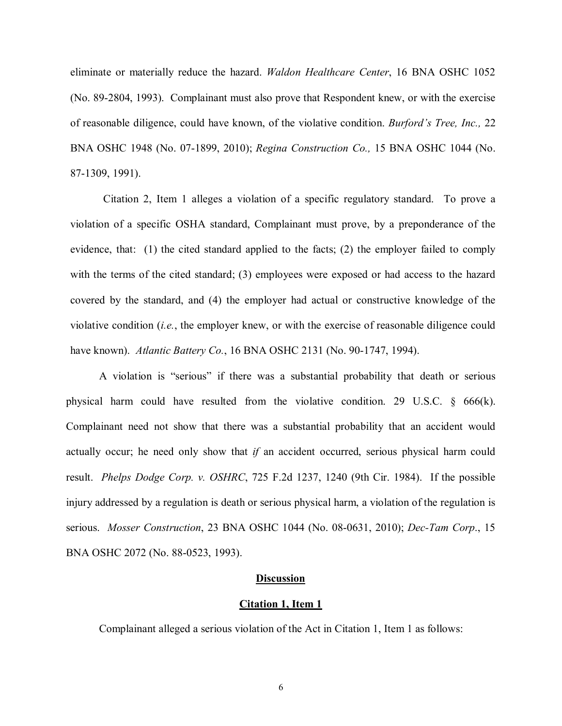eliminate or materially reduce the hazard. *Waldon Healthcare Center*, 16 BNA OSHC 1052 (No. 89-2804, 1993). Complainant must also prove that Respondent knew, or with the exercise of reasonable diligence, could have known, of the violative condition. *Burford's Tree, Inc.,* 22 BNA OSHC 1948 (No. 07-1899, 2010); *Regina Construction Co.,* 15 BNA OSHC 1044 (No. 87-1309, 1991).

Citation 2, Item 1 alleges a violation of a specific regulatory standard. To prove a violation of a specific OSHA standard, Complainant must prove, by a preponderance of the evidence, that: (1) the cited standard applied to the facts; (2) the employer failed to comply with the terms of the cited standard; (3) employees were exposed or had access to the hazard covered by the standard, and (4) the employer had actual or constructive knowledge of the violative condition (*i.e.*, the employer knew, or with the exercise of reasonable diligence could have known). *Atlantic Battery Co.*, 16 BNA OSHC 2131 (No. 90-1747, 1994).

A violation is "serious" if there was a substantial probability that death or serious physical harm could have resulted from the violative condition. 29 U.S.C.  $\delta$  666(k). Complainant need not show that there was a substantial probability that an accident would actually occur; he need only show that *if* an accident occurred, serious physical harm could result. *Phelps Dodge Corp. v. OSHRC*, 725 F.2d 1237, 1240 (9th Cir. 1984). If the possible injury addressed by a regulation is death or serious physical harm, a violation of the regulation is serious. *Mosser Construction*, 23 BNA OSHC 1044 (No. 08-0631, 2010); *Dec-Tam Corp*., 15 BNA OSHC 2072 (No. 88-0523, 1993).

### **Discussion**

#### **Citation 1, Item 1**

Complainant alleged a serious violation of the Act in Citation 1, Item 1 as follows: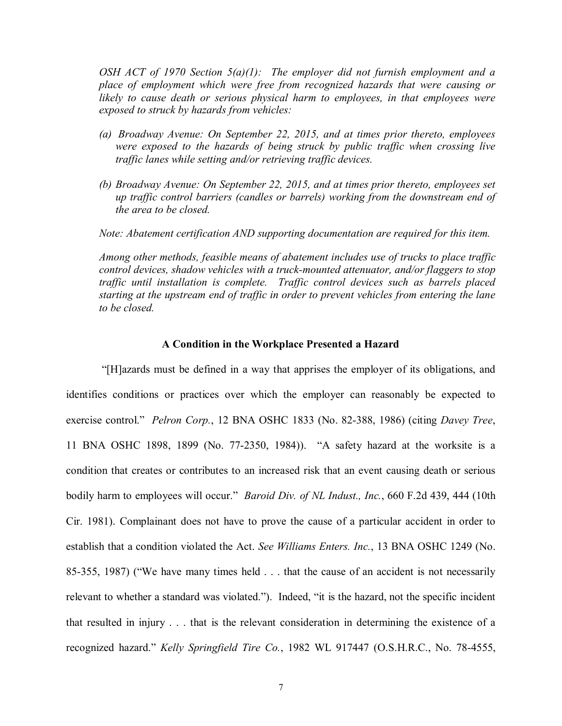*OSH ACT of 1970 Section 5(a)(1): The employer did not furnish employment and a place of employment which were free from recognized hazards that were causing or*  likely to cause death or serious physical harm to employees, in that employees were *exposed to struck by hazards from vehicles:* 

- *(a) Broadway Avenue: On September 22, 2015, and at times prior thereto, employees*  were exposed to the hazards of being struck by public traffic when crossing live *traffic lanes while setting and/or retrieving traffic devices.*
- *(b) Broadway Avenue: On September 22, 2015, and at times prior thereto, employees set up traffic control barriers (candles or barrels) working from the downstream end of the area to be closed.*

*Note: Abatement certification AND supporting documentation are required for this item.*

*Among other methods, feasible means of abatement includes use of trucks to place traffic control devices, shadow vehicles with a truck-mounted attenuator, and/or flaggers to stop traffic until installation is complete. Traffic control devices such as barrels placed starting at the upstream end of traffic in order to prevent vehicles from entering the lane to be closed.*

### **A Condition in the Workplace Presented a Hazard**

 "[H]azards must be defined in a way that apprises the employer of its obligations, and identifies conditions or practices over which the employer can reasonably be expected to exercise control." *Pelron Corp.*, 12 BNA OSHC 1833 (No. 82-388, 1986) (citing *Davey Tree*, 11 BNA OSHC 1898, 1899 (No. 77-2350, 1984)). "A safety hazard at the worksite is a condition that creates or contributes to an increased risk that an event causing death or serious bodily harm to employees will occur." *Baroid Div. of NL Indust., Inc.*, 660 F.2d 439, 444 (10th Cir. 1981). Complainant does not have to prove the cause of a particular accident in order to establish that a condition violated the Act. *See Williams Enters. Inc.*, 13 BNA OSHC 1249 (No. 85-355, 1987) ("We have many times held . . . that the cause of an accident is not necessarily relevant to whether a standard was violated."). Indeed, "it is the hazard, not the specific incident that resulted in injury . . . that is the relevant consideration in determining the existence of a recognized hazard." *Kelly Springfield Tire Co.*, 1982 WL 917447 (O.S.H.R.C., No. 78-4555,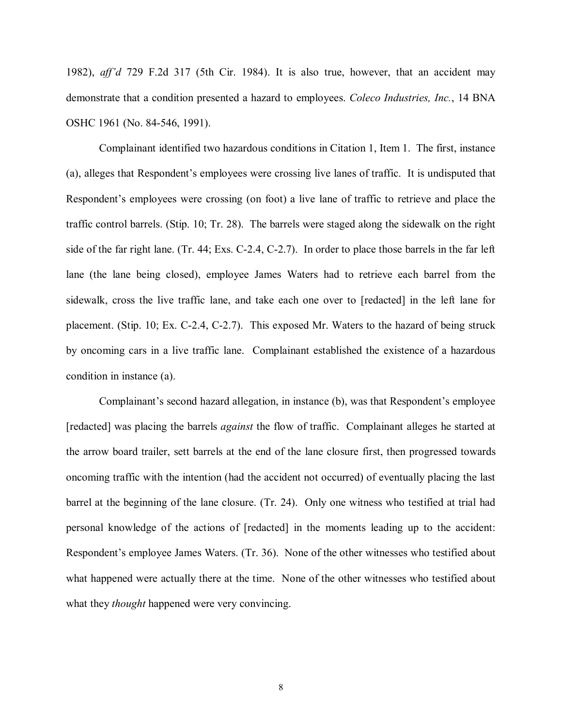1982), *aff'd* 729 F.2d 317 (5th Cir. 1984). It is also true, however, that an accident may demonstrate that a condition presented a hazard to employees. *Coleco Industries, Inc.*, 14 BNA OSHC 1961 (No. 84-546, 1991).

Complainant identified two hazardous conditions in Citation 1, Item 1. The first, instance (a), alleges that Respondent's employees were crossing live lanes of traffic. It is undisputed that Respondent's employees were crossing (on foot) a live lane of traffic to retrieve and place the traffic control barrels. (Stip. 10; Tr. 28). The barrels were staged along the sidewalk on the right side of the far right lane. (Tr. 44; Exs. C-2.4, C-2.7). In order to place those barrels in the far left lane (the lane being closed), employee James Waters had to retrieve each barrel from the sidewalk, cross the live traffic lane, and take each one over to [redacted] in the left lane for placement. (Stip. 10; Ex. C-2.4, C-2.7). This exposed Mr. Waters to the hazard of being struck by oncoming cars in a live traffic lane. Complainant established the existence of a hazardous condition in instance (a).

Complainant's second hazard allegation, in instance (b), was that Respondent's employee [redacted] was placing the barrels *against* the flow of traffic. Complainant alleges he started at the arrow board trailer, sett barrels at the end of the lane closure first, then progressed towards oncoming traffic with the intention (had the accident not occurred) of eventually placing the last barrel at the beginning of the lane closure. (Tr. 24). Only one witness who testified at trial had personal knowledge of the actions of [redacted] in the moments leading up to the accident: Respondent's employee James Waters. (Tr. 36). None of the other witnesses who testified about what happened were actually there at the time. None of the other witnesses who testified about what they *thought* happened were very convincing.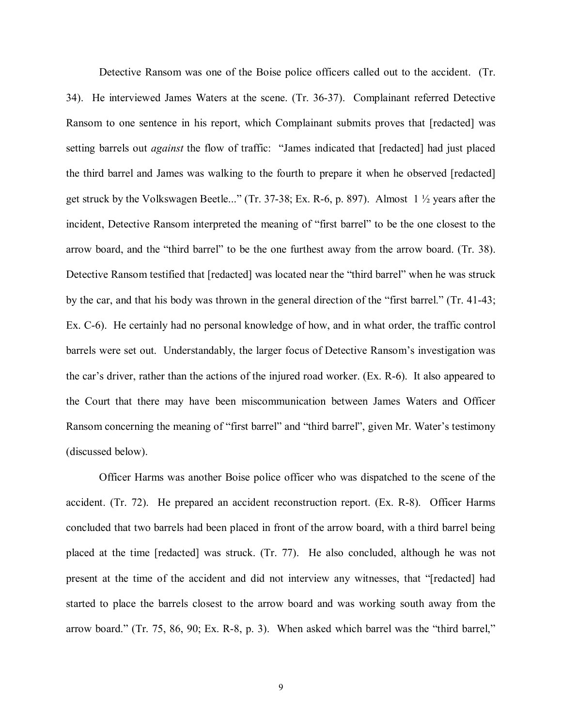Detective Ransom was one of the Boise police officers called out to the accident. (Tr. 34). He interviewed James Waters at the scene. (Tr. 36-37). Complainant referred Detective Ransom to one sentence in his report, which Complainant submits proves that [redacted] was setting barrels out *against* the flow of traffic: "James indicated that [redacted] had just placed the third barrel and James was walking to the fourth to prepare it when he observed [redacted] get struck by the Volkswagen Beetle..." (Tr. 37-38; Ex. R-6, p. 897). Almost 1 ½ years after the incident, Detective Ransom interpreted the meaning of "first barrel" to be the one closest to the arrow board, and the "third barrel" to be the one furthest away from the arrow board. (Tr. 38). Detective Ransom testified that [redacted] was located near the "third barrel" when he was struck by the car, and that his body was thrown in the general direction of the "first barrel." (Tr. 41-43; Ex. C-6). He certainly had no personal knowledge of how, and in what order, the traffic control barrels were set out. Understandably, the larger focus of Detective Ransom's investigation was the car's driver, rather than the actions of the injured road worker. (Ex. R-6). It also appeared to the Court that there may have been miscommunication between James Waters and Officer Ransom concerning the meaning of "first barrel" and "third barrel", given Mr. Water's testimony (discussed below).

Officer Harms was another Boise police officer who was dispatched to the scene of the accident. (Tr. 72). He prepared an accident reconstruction report. (Ex. R-8). Officer Harms concluded that two barrels had been placed in front of the arrow board, with a third barrel being placed at the time [redacted] was struck. (Tr. 77). He also concluded, although he was not present at the time of the accident and did not interview any witnesses, that "[redacted] had started to place the barrels closest to the arrow board and was working south away from the arrow board." (Tr. 75, 86, 90; Ex. R-8, p. 3). When asked which barrel was the "third barrel,"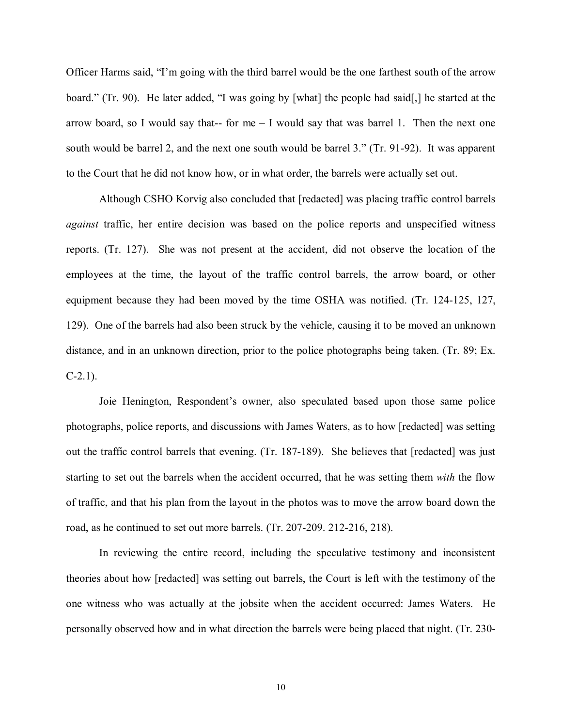Officer Harms said, "I'm going with the third barrel would be the one farthest south of the arrow board." (Tr. 90). He later added, "I was going by [what] the people had said[,] he started at the arrow board, so I would say that-- for me  $-$  I would say that was barrel 1. Then the next one south would be barrel 2, and the next one south would be barrel 3." (Tr. 91-92). It was apparent to the Court that he did not know how, or in what order, the barrels were actually set out.

Although CSHO Korvig also concluded that [redacted] was placing traffic control barrels *against* traffic, her entire decision was based on the police reports and unspecified witness reports. (Tr. 127). She was not present at the accident, did not observe the location of the employees at the time, the layout of the traffic control barrels, the arrow board, or other equipment because they had been moved by the time OSHA was notified. (Tr. 124-125, 127, 129). One of the barrels had also been struck by the vehicle, causing it to be moved an unknown distance, and in an unknown direction, prior to the police photographs being taken. (Tr. 89; Ex.  $C-2.1$ ).

Joie Henington, Respondent's owner, also speculated based upon those same police photographs, police reports, and discussions with James Waters, as to how [redacted] was setting out the traffic control barrels that evening. (Tr. 187-189). She believes that [redacted] was just starting to set out the barrels when the accident occurred, that he was setting them *with* the flow of traffic, and that his plan from the layout in the photos was to move the arrow board down the road, as he continued to set out more barrels. (Tr. 207-209. 212-216, 218).

In reviewing the entire record, including the speculative testimony and inconsistent theories about how [redacted] was setting out barrels, the Court is left with the testimony of the one witness who was actually at the jobsite when the accident occurred: James Waters. He personally observed how and in what direction the barrels were being placed that night. (Tr. 230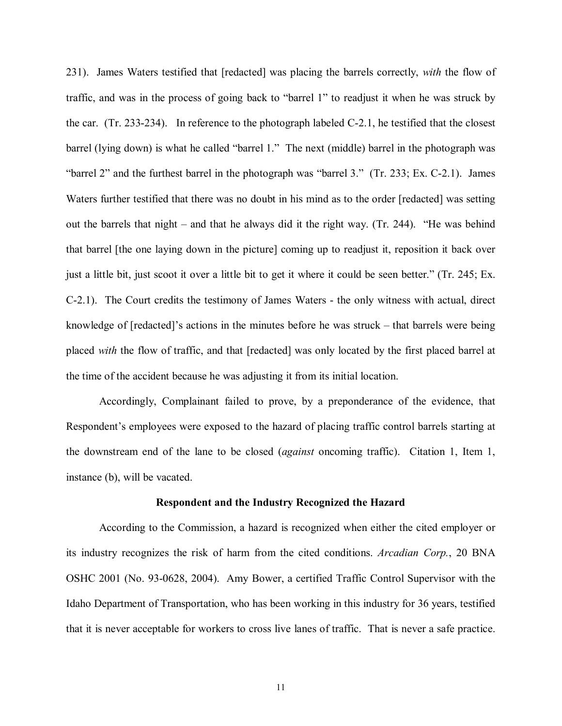231). James Waters testified that [redacted] was placing the barrels correctly, *with* the flow of traffic, and was in the process of going back to "barrel 1" to readjust it when he was struck by the car. (Tr. 233-234). In reference to the photograph labeled C-2.1, he testified that the closest barrel (lying down) is what he called "barrel 1." The next (middle) barrel in the photograph was "barrel 2" and the furthest barrel in the photograph was "barrel 3." (Tr. 233; Ex. C-2.1). James Waters further testified that there was no doubt in his mind as to the order [redacted] was setting out the barrels that night – and that he always did it the right way. (Tr. 244). "He was behind that barrel [the one laying down in the picture] coming up to readjust it, reposition it back over just a little bit, just scoot it over a little bit to get it where it could be seen better." (Tr. 245; Ex. C-2.1). The Court credits the testimony of James Waters - the only witness with actual, direct knowledge of [redacted]'s actions in the minutes before he was struck – that barrels were being placed *with* the flow of traffic, and that [redacted] was only located by the first placed barrel at the time of the accident because he was adjusting it from its initial location.

Accordingly, Complainant failed to prove, by a preponderance of the evidence, that Respondent's employees were exposed to the hazard of placing traffic control barrels starting at the downstream end of the lane to be closed (*against* oncoming traffic). Citation 1, Item 1, instance (b), will be vacated.

#### **Respondent and the Industry Recognized the Hazard**

According to the Commission, a hazard is recognized when either the cited employer or its industry recognizes the risk of harm from the cited conditions. *Arcadian Corp.*, 20 BNA OSHC 2001 (No. 93-0628, 2004). Amy Bower, a certified Traffic Control Supervisor with the Idaho Department of Transportation, who has been working in this industry for 36 years, testified that it is never acceptable for workers to cross live lanes of traffic. That is never a safe practice.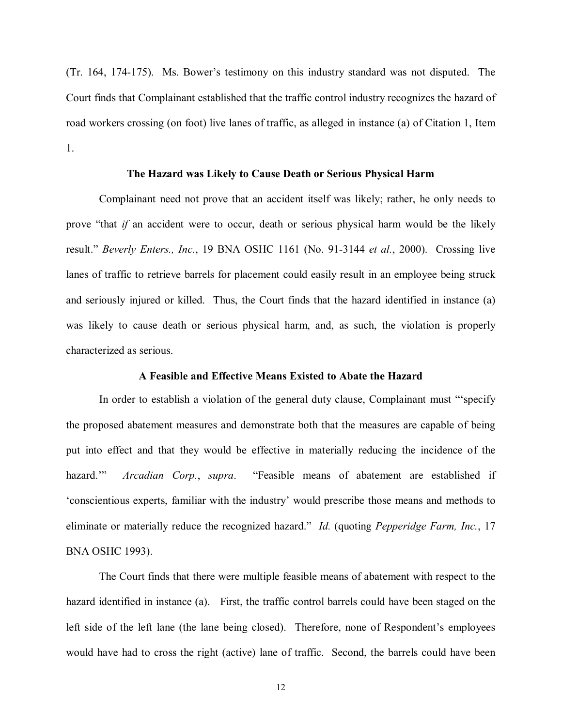(Tr. 164, 174-175). Ms. Bower's testimony on this industry standard was not disputed. The Court finds that Complainant established that the traffic control industry recognizes the hazard of road workers crossing (on foot) live lanes of traffic, as alleged in instance (a) of Citation 1, Item 1.

### **The Hazard was Likely to Cause Death or Serious Physical Harm**

Complainant need not prove that an accident itself was likely; rather, he only needs to prove "that *if* an accident were to occur, death or serious physical harm would be the likely result." *Beverly Enters., Inc.*, 19 BNA OSHC 1161 (No. 91-3144 *et al.*, 2000). Crossing live lanes of traffic to retrieve barrels for placement could easily result in an employee being struck and seriously injured or killed. Thus, the Court finds that the hazard identified in instance (a) was likely to cause death or serious physical harm, and, as such, the violation is properly characterized as serious.

### **A Feasible and Effective Means Existed to Abate the Hazard**

In order to establish a violation of the general duty clause, Complainant must "'specify the proposed abatement measures and demonstrate both that the measures are capable of being put into effect and that they would be effective in materially reducing the incidence of the hazard.'" *Arcadian Corp.*, *supra*. "Feasible means of abatement are established if 'conscientious experts, familiar with the industry' would prescribe those means and methods to eliminate or materially reduce the recognized hazard." *Id.* (quoting *Pepperidge Farm, Inc.*, 17 BNA OSHC 1993).

The Court finds that there were multiple feasible means of abatement with respect to the hazard identified in instance (a). First, the traffic control barrels could have been staged on the left side of the left lane (the lane being closed). Therefore, none of Respondent's employees would have had to cross the right (active) lane of traffic. Second, the barrels could have been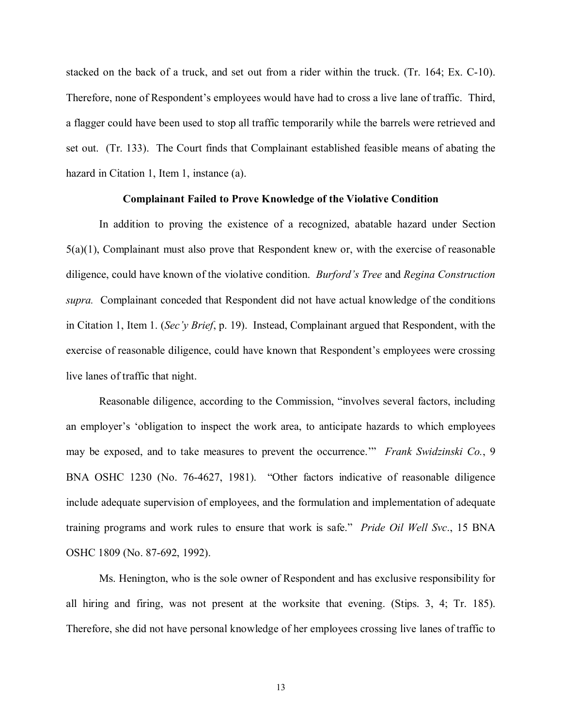stacked on the back of a truck, and set out from a rider within the truck. (Tr. 164; Ex. C-10). Therefore, none of Respondent's employees would have had to cross a live lane of traffic. Third, a flagger could have been used to stop all traffic temporarily while the barrels were retrieved and set out. (Tr. 133). The Court finds that Complainant established feasible means of abating the hazard in Citation 1, Item 1, instance (a).

### **Complainant Failed to Prove Knowledge of the Violative Condition**

In addition to proving the existence of a recognized, abatable hazard under Section  $5(a)(1)$ , Complainant must also prove that Respondent knew or, with the exercise of reasonable diligence, could have known of the violative condition. *Burford's Tree* and *Regina Construction supra.* Complainant conceded that Respondent did not have actual knowledge of the conditions in Citation 1, Item 1. (*Sec'y Brief*, p. 19). Instead, Complainant argued that Respondent, with the exercise of reasonable diligence, could have known that Respondent's employees were crossing live lanes of traffic that night.

Reasonable diligence, according to the Commission, "involves several factors, including an employer's 'obligation to inspect the work area, to anticipate hazards to which employees may be exposed, and to take measures to prevent the occurrence.'" *Frank Swidzinski Co.*, 9 BNA OSHC 1230 (No. 76-4627, 1981). "Other factors indicative of reasonable diligence include adequate supervision of employees, and the formulation and implementation of adequate training programs and work rules to ensure that work is safe." *Pride Oil Well Svc*., 15 BNA OSHC 1809 (No. 87-692, 1992).

Ms. Henington, who is the sole owner of Respondent and has exclusive responsibility for all hiring and firing, was not present at the worksite that evening. (Stips. 3, 4; Tr. 185). Therefore, she did not have personal knowledge of her employees crossing live lanes of traffic to

13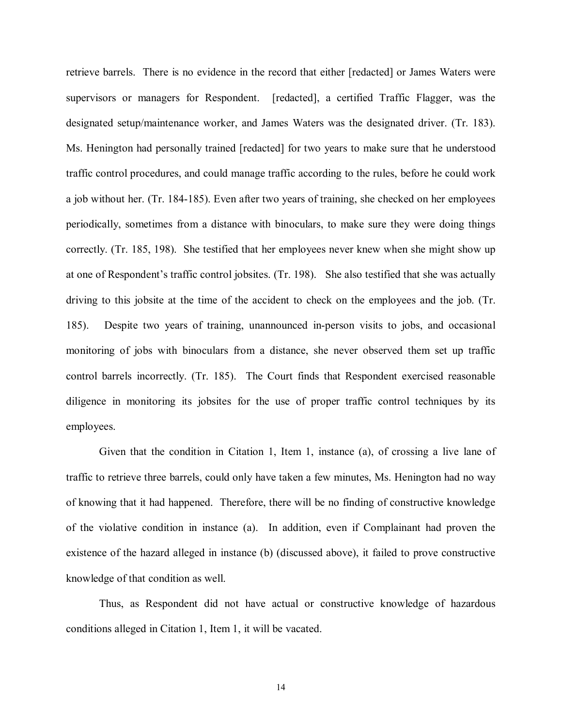retrieve barrels. There is no evidence in the record that either [redacted] or James Waters were supervisors or managers for Respondent. [redacted], a certified Traffic Flagger, was the designated setup/maintenance worker, and James Waters was the designated driver. (Tr. 183). Ms. Henington had personally trained [redacted] for two years to make sure that he understood traffic control procedures, and could manage traffic according to the rules, before he could work a job without her. (Tr. 184-185). Even after two years of training, she checked on her employees periodically, sometimes from a distance with binoculars, to make sure they were doing things correctly. (Tr. 185, 198). She testified that her employees never knew when she might show up at one of Respondent's traffic control jobsites. (Tr. 198). She also testified that she was actually driving to this jobsite at the time of the accident to check on the employees and the job. (Tr. 185). Despite two years of training, unannounced in-person visits to jobs, and occasional monitoring of jobs with binoculars from a distance, she never observed them set up traffic control barrels incorrectly. (Tr. 185). The Court finds that Respondent exercised reasonable diligence in monitoring its jobsites for the use of proper traffic control techniques by its employees.

Given that the condition in Citation 1, Item 1, instance (a), of crossing a live lane of traffic to retrieve three barrels, could only have taken a few minutes, Ms. Henington had no way of knowing that it had happened. Therefore, there will be no finding of constructive knowledge of the violative condition in instance (a). In addition, even if Complainant had proven the existence of the hazard alleged in instance (b) (discussed above), it failed to prove constructive knowledge of that condition as well.

Thus, as Respondent did not have actual or constructive knowledge of hazardous conditions alleged in Citation 1, Item 1, it will be vacated.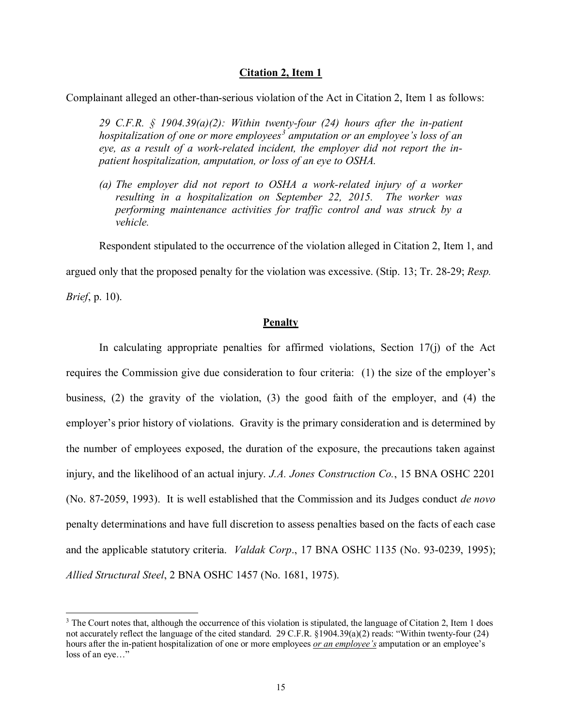# **Citation 2, Item 1**

Complainant alleged an other-than-serious violation of the Act in Citation 2, Item 1 as follows:

*29 C.F.R. § 1904.39(a)(2): Within twenty-four (24) hours after the in-patient hospitalization of one or more employees[3](#page-14-0) amputation or an employee's loss of an eye, as a result of a work-related incident, the employer did not report the inpatient hospitalization, amputation, or loss of an eye to OSHA.*

*(a) The employer did not report to OSHA a work-related injury of a worker resulting in a hospitalization on September 22, 2015. The worker was performing maintenance activities for traffic control and was struck by a vehicle.*

Respondent stipulated to the occurrence of the violation alleged in Citation 2, Item 1, and

argued only that the proposed penalty for the violation was excessive. (Stip. 13; Tr. 28-29; *Resp.* 

*Brief*, p. 10).

 $\overline{a}$ 

# **Penalty**

In calculating appropriate penalties for affirmed violations, Section  $17(i)$  of the Act requires the Commission give due consideration to four criteria: (1) the size of the employer's business, (2) the gravity of the violation, (3) the good faith of the employer, and (4) the employer's prior history of violations. Gravity is the primary consideration and is determined by the number of employees exposed, the duration of the exposure, the precautions taken against injury, and the likelihood of an actual injury. *J.A. Jones Construction Co.*, 15 BNA OSHC 2201 (No. 87-2059, 1993). It is well established that the Commission and its Judges conduct *de novo* penalty determinations and have full discretion to assess penalties based on the facts of each case and the applicable statutory criteria. *Valdak Corp*., 17 BNA OSHC 1135 (No. 93-0239, 1995); *Allied Structural Steel*, 2 BNA OSHC 1457 (No. 1681, 1975).

<span id="page-14-0"></span> $3$  The Court notes that, although the occurrence of this violation is stipulated, the language of Citation 2, Item 1 does not accurately reflect the language of the cited standard. 29 C.F.R. §1904.39(a)(2) reads: "Within twenty-four (24) hours after the in-patient hospitalization of one or more employees *or an employee's* amputation or an employee's loss of an eye..."